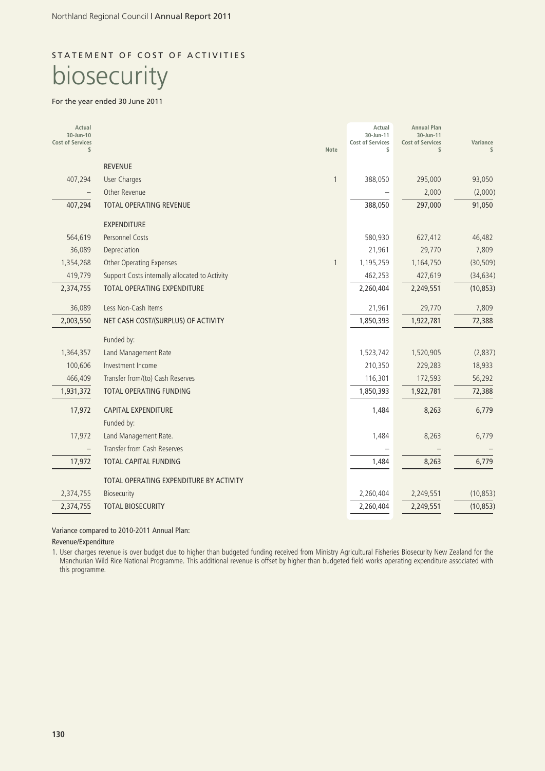# STATEMENT OF COST OF ACTIVITIES biosecurity

#### For the year ended 30 June 2011

| Actual<br>30-Jun-10<br><b>Cost of Services</b><br>\$ |                                                | Note         | Actual<br>30-Jun-11<br><b>Cost of Services</b><br>\$ | <b>Annual Plan</b><br>30-Jun-11<br><b>Cost of Services</b><br>\$ | Variance<br>$\mathcal{L}$ |
|------------------------------------------------------|------------------------------------------------|--------------|------------------------------------------------------|------------------------------------------------------------------|---------------------------|
|                                                      | <b>REVENUE</b>                                 |              |                                                      |                                                                  |                           |
| 407,294                                              | User Charges                                   | $\mathbf{1}$ | 388,050                                              | 295,000                                                          | 93,050                    |
|                                                      | Other Revenue                                  |              |                                                      | 2,000                                                            | (2,000)                   |
| 407,294                                              | TOTAL OPERATING REVENUE                        |              | 388,050                                              | 297,000                                                          | 91,050                    |
|                                                      | <b>EXPENDITURE</b>                             |              |                                                      |                                                                  |                           |
| 564,619                                              | <b>Personnel Costs</b>                         |              | 580,930                                              | 627,412                                                          | 46,482                    |
| 36,089                                               | Depreciation                                   |              | 21,961                                               | 29,770                                                           | 7,809                     |
| 1,354,268                                            | <b>Other Operating Expenses</b>                | 1            | 1,195,259                                            | 1,164,750                                                        | (30, 509)                 |
| 419,779                                              | Support Costs internally allocated to Activity |              | 462,253                                              | 427,619                                                          | (34, 634)                 |
| 2,374,755                                            | <b>TOTAL OPERATING EXPENDITURE</b>             |              | 2,260,404                                            | 2,249,551                                                        | (10, 853)                 |
| 36,089                                               | Less Non-Cash Items                            |              | 21,961                                               | 29,770                                                           | 7,809                     |
| 2,003,550                                            | NET CASH COST/(SURPLUS) OF ACTIVITY            |              | 1,850,393                                            | 1,922,781                                                        | 72,388                    |
|                                                      | Funded by:                                     |              |                                                      |                                                                  |                           |
| 1,364,357                                            | Land Management Rate                           |              | 1,523,742                                            | 1,520,905                                                        | (2,837)                   |
| 100,606                                              | Investment Income                              |              | 210,350                                              | 229,283                                                          | 18,933                    |
| 466,409                                              | Transfer from/(to) Cash Reserves               |              | 116,301                                              | 172,593                                                          | 56,292                    |
| 1,931,372                                            | <b>TOTAL OPERATING FUNDING</b>                 |              | 1,850,393                                            | 1,922,781                                                        | 72,388                    |
| 17,972                                               | <b>CAPITAL EXPENDITURE</b>                     |              | 1,484                                                | 8,263                                                            | 6,779                     |
|                                                      | Funded by:                                     |              |                                                      |                                                                  |                           |
| 17,972                                               | Land Management Rate.                          |              | 1,484                                                | 8,263                                                            | 6,779                     |
|                                                      | Transfer from Cash Reserves                    |              |                                                      |                                                                  |                           |
| 17,972                                               | TOTAL CAPITAL FUNDING                          |              | 1,484                                                | 8,263                                                            | 6,779                     |
|                                                      | TOTAL OPERATING EXPENDITURE BY ACTIVITY        |              |                                                      |                                                                  |                           |
| 2,374,755                                            | <b>Biosecurity</b>                             |              | 2,260,404                                            | 2,249,551                                                        | (10, 853)                 |
| 2,374,755                                            | <b>TOTAL BIOSECURITY</b>                       |              | 2,260,404                                            | 2,249,551                                                        | (10, 853)                 |

Variance compared to 2010-2011 Annual Plan:

Revenue/Expenditure

1. User charges revenue is over budget due to higher than budgeted funding received from Ministry Agricultural Fisheries Biosecurity New Zealand for the Manchurian Wild Rice National Programme. This additional revenue is offset by higher than budgeted field works operating expenditure associated with this programme.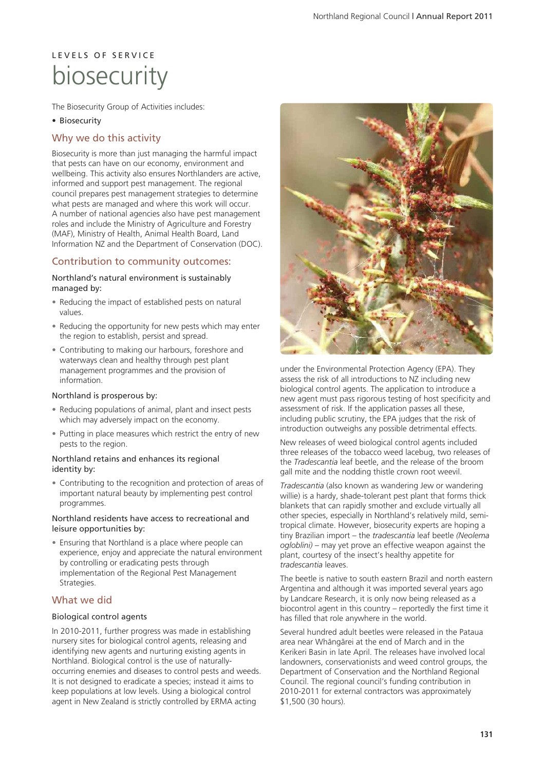# L E V E L S O F S E R V I C E biosecurity

The Biosecurity Group of Activities includes:

#### • Biosecurity

### Why we do this activity

Biosecurity is more than just managing the harmful impact that pests can have on our economy, environment and wellbeing. This activity also ensures Northlanders are active, informed and support pest management. The regional council prepares pest management strategies to determine what pests are managed and where this work will occur. A number of national agencies also have pest management roles and include the Ministry of Agriculture and Forestry (MAF), Ministry of Health, Animal Health Board, Land Information NZ and the Department of Conservation (DOC).

### Contribution to community outcomes:

#### Northland's natural environment is sustainably managed by:

- Reducing the impact of established pests on natural values.
- Reducing the opportunity for new pests which may enter the region to establish, persist and spread.
- Contributing to making our harbours, foreshore and waterways clean and healthy through pest plant management programmes and the provision of information.

#### Northland is prosperous by:

- Reducing populations of animal, plant and insect pests which may adversely impact on the economy.
- Putting in place measures which restrict the entry of new pests to the region.

#### Northland retains and enhances its regional identity by:

• Contributing to the recognition and protection of areas of important natural beauty by implementing pest control programmes.

#### Northland residents have access to recreational and leisure opportunities by:

• Ensuring that Northland is a place where people can experience, enjoy and appreciate the natural environment by controlling or eradicating pests through implementation of the Regional Pest Management Strategies.

### What we did

#### Biological control agents

In 2010-2011, further progress was made in establishing nursery sites for biological control agents, releasing and identifying new agents and nurturing existing agents in Northland. Biological control is the use of naturallyoccurring enemies and diseases to control pests and weeds. It is not designed to eradicate a species; instead it aims to keep populations at low levels. Using a biological control agent in New Zealand is strictly controlled by ERMA acting



under the Environmental Protection Agency (EPA). They assess the risk of all introductions to NZ including new biological control agents. The application to introduce a new agent must pass rigorous testing of host specificity and assessment of risk. If the application passes all these, including public scrutiny, the EPA judges that the risk of introduction outweighs any possible detrimental effects.

New releases of weed biological control agents included three releases of the tobacco weed lacebug, two releases of the *Tradescantia* leaf beetle, and the release of the broom gall mite and the nodding thistle crown root weevil.

*Tradescantia* (also known as wandering Jew or wandering willie) is a hardy, shade-tolerant pest plant that forms thick blankets that can rapidly smother and exclude virtually all other species, especially in Northland's relatively mild, semitropical climate. However, biosecurity experts are hoping a tiny Brazilian import – the *tradescantia* leaf beetle *(Neolema ogloblini)* – may yet prove an effective weapon against the plant, courtesy of the insect's healthy appetite for *tradescantia* leaves.

The beetle is native to south eastern Brazil and north eastern Argentina and although it was imported several years ago by Landcare Research, it is only now being released as a biocontrol agent in this country – reportedly the first time it has filled that role anywhere in the world.

Several hundred adult beetles were released in the Pataua area near Whängärei at the end of March and in the Kerikeri Basin in late April. The releases have involved local landowners, conservationists and weed control groups, the Department of Conservation and the Northland Regional Council. The regional council's funding contribution in 2010-2011 for external contractors was approximately \$1,500 (30 hours).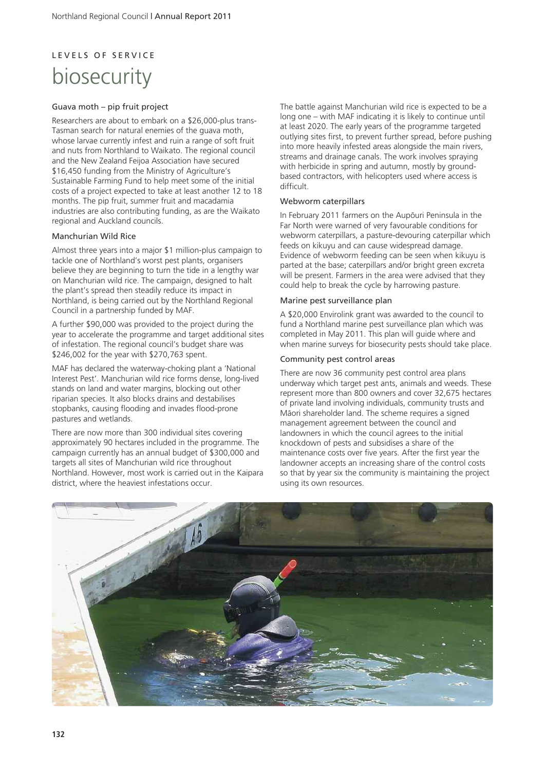# L E V E L S O F S E R V I C E biosecurity

#### Guava moth – pip fruit project

Researchers are about to embark on a \$26,000-plus trans-Tasman search for natural enemies of the guava moth, whose larvae currently infest and ruin a range of soft fruit and nuts from Northland to Waikato. The regional council and the New Zealand Feijoa Association have secured \$16,450 funding from the Ministry of Agriculture's Sustainable Farming Fund to help meet some of the initial costs of a project expected to take at least another 12 to 18 months. The pip fruit, summer fruit and macadamia industries are also contributing funding, as are the Waikato regional and Auckland councils.

#### Manchurian Wild Rice

Almost three years into a major \$1 million-plus campaign to tackle one of Northland's worst pest plants, organisers believe they are beginning to turn the tide in a lengthy war on Manchurian wild rice. The campaign, designed to halt the plant's spread then steadily reduce its impact in Northland, is being carried out by the Northland Regional Council in a partnership funded by MAF.

A further \$90,000 was provided to the project during the year to accelerate the programme and target additional sites of infestation. The regional council's budget share was \$246,002 for the year with \$270,763 spent.

MAF has declared the waterway-choking plant a 'National Interest Pest'. Manchurian wild rice forms dense, long-lived stands on land and water margins, blocking out other riparian species. It also blocks drains and destabilises stopbanks, causing flooding and invades flood-prone pastures and wetlands.

There are now more than 300 individual sites covering approximately 90 hectares included in the programme. The campaign currently has an annual budget of \$300,000 and targets all sites of Manchurian wild rice throughout Northland. However, most work is carried out in the Kaipara district, where the heaviest infestations occur.

The battle against Manchurian wild rice is expected to be a long one – with MAF indicating it is likely to continue until at least 2020. The early years of the programme targeted outlying sites first, to prevent further spread, before pushing into more heavily infested areas alongside the main rivers, streams and drainage canals. The work involves spraying with herbicide in spring and autumn, mostly by groundbased contractors, with helicopters used where access is difficult.

#### Webworm caterpillars

In February 2011 farmers on the Aupöuri Peninsula in the Far North were warned of very favourable conditions for webworm caterpillars, a pasture-devouring caterpillar which feeds on kikuyu and can cause widespread damage. Evidence of webworm feeding can be seen when kikuyu is parted at the base; caterpillars and/or bright green excreta will be present. Farmers in the area were advised that they could help to break the cycle by harrowing pasture.

#### Marine pest surveillance plan

A \$20,000 Envirolink grant was awarded to the council to fund a Northland marine pest surveillance plan which was completed in May 2011. This plan will guide where and when marine surveys for biosecurity pests should take place.

#### Community pest control areas

There are now 36 community pest control area plans underway which target pest ants, animals and weeds. These represent more than 800 owners and cover 32,675 hectares of private land involving individuals, community trusts and Mäori shareholder land. The scheme requires a signed management agreement between the council and landowners in which the council agrees to the initial knockdown of pests and subsidises a share of the maintenance costs over five years. After the first year the landowner accepts an increasing share of the control costs so that by year six the community is maintaining the project using its own resources.

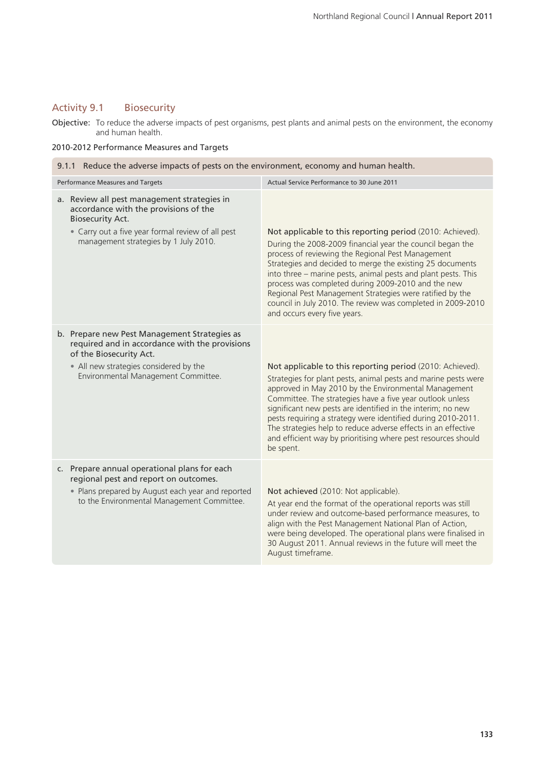## Activity 9.1 Biosecurity

Objective: To reduce the adverse impacts of pest organisms, pest plants and animal pests on the environment, the economy and human health.

#### 2010-2012 Performance Measures and Targets

| 9.1.1 Reduce the adverse impacts of pests on the environment, economy and human health.                                                                                                                       |                                                                                                                                                                                                                                                                                                                                                                                                                                                                                                                                |  |  |  |  |
|---------------------------------------------------------------------------------------------------------------------------------------------------------------------------------------------------------------|--------------------------------------------------------------------------------------------------------------------------------------------------------------------------------------------------------------------------------------------------------------------------------------------------------------------------------------------------------------------------------------------------------------------------------------------------------------------------------------------------------------------------------|--|--|--|--|
| Performance Measures and Targets                                                                                                                                                                              | Actual Service Performance to 30 June 2011                                                                                                                                                                                                                                                                                                                                                                                                                                                                                     |  |  |  |  |
| a. Review all pest management strategies in<br>accordance with the provisions of the<br><b>Biosecurity Act.</b><br>• Carry out a five year formal review of all pest<br>management strategies by 1 July 2010. | Not applicable to this reporting period (2010: Achieved).<br>During the 2008-2009 financial year the council began the<br>process of reviewing the Regional Pest Management<br>Strategies and decided to merge the existing 25 documents<br>into three - marine pests, animal pests and plant pests. This<br>process was completed during 2009-2010 and the new<br>Regional Pest Management Strategies were ratified by the<br>council in July 2010. The review was completed in 2009-2010<br>and occurs every five years.     |  |  |  |  |
| b. Prepare new Pest Management Strategies as<br>required and in accordance with the provisions<br>of the Biosecurity Act.<br>• All new strategies considered by the<br>Environmental Management Committee.    | Not applicable to this reporting period (2010: Achieved).<br>Strategies for plant pests, animal pests and marine pests were<br>approved in May 2010 by the Environmental Management<br>Committee. The strategies have a five year outlook unless<br>significant new pests are identified in the interim; no new<br>pests requiring a strategy were identified during 2010-2011.<br>The strategies help to reduce adverse effects in an effective<br>and efficient way by prioritising where pest resources should<br>be spent. |  |  |  |  |
| c. Prepare annual operational plans for each<br>regional pest and report on outcomes.<br>• Plans prepared by August each year and reported<br>to the Environmental Management Committee.                      | Not achieved (2010: Not applicable).<br>At year end the format of the operational reports was still<br>under review and outcome-based performance measures, to<br>align with the Pest Management National Plan of Action,<br>were being developed. The operational plans were finalised in<br>30 August 2011. Annual reviews in the future will meet the<br>August timeframe.                                                                                                                                                  |  |  |  |  |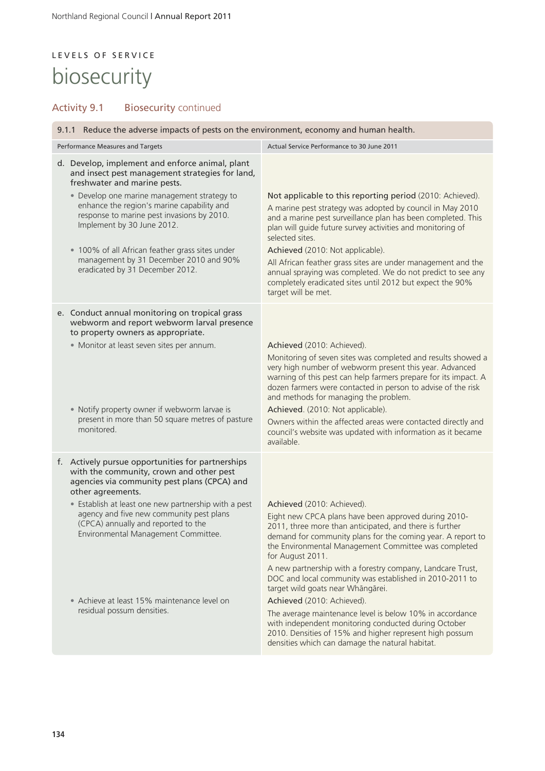# L E V E L S O F S E R V I C E biosecurity

## Activity 9.1 Biosecurity continued

| 9.1.1 Reduce the adverse impacts of pests on the environment, economy and human health.                                                                                                                                                                                                                                                                                                                                           |                                                                                                                                                                                                                                                                                                                                                                                                                                                                                                                                                                                                                                                                                                                        |  |  |  |
|-----------------------------------------------------------------------------------------------------------------------------------------------------------------------------------------------------------------------------------------------------------------------------------------------------------------------------------------------------------------------------------------------------------------------------------|------------------------------------------------------------------------------------------------------------------------------------------------------------------------------------------------------------------------------------------------------------------------------------------------------------------------------------------------------------------------------------------------------------------------------------------------------------------------------------------------------------------------------------------------------------------------------------------------------------------------------------------------------------------------------------------------------------------------|--|--|--|
| Performance Measures and Targets                                                                                                                                                                                                                                                                                                                                                                                                  | Actual Service Performance to 30 June 2011                                                                                                                                                                                                                                                                                                                                                                                                                                                                                                                                                                                                                                                                             |  |  |  |
| d. Develop, implement and enforce animal, plant<br>and insect pest management strategies for land,<br>freshwater and marine pests.<br>• Develop one marine management strategy to<br>enhance the region's marine capability and<br>response to marine pest invasions by 2010.<br>Implement by 30 June 2012.                                                                                                                       | Not applicable to this reporting period (2010: Achieved).<br>A marine pest strategy was adopted by council in May 2010<br>and a marine pest surveillance plan has been completed. This<br>plan will guide future survey activities and monitoring of<br>selected sites.                                                                                                                                                                                                                                                                                                                                                                                                                                                |  |  |  |
| • 100% of all African feather grass sites under<br>management by 31 December 2010 and 90%<br>eradicated by 31 December 2012.                                                                                                                                                                                                                                                                                                      | Achieved (2010: Not applicable).<br>All African feather grass sites are under management and the<br>annual spraying was completed. We do not predict to see any<br>completely eradicated sites until 2012 but expect the 90%<br>target will be met.                                                                                                                                                                                                                                                                                                                                                                                                                                                                    |  |  |  |
| e. Conduct annual monitoring on tropical grass<br>webworm and report webworm larval presence<br>to property owners as appropriate.<br>· Monitor at least seven sites per annum.<br>• Notify property owner if webworm larvae is<br>present in more than 50 square metres of pasture<br>monitored.                                                                                                                                 | Achieved (2010: Achieved).<br>Monitoring of seven sites was completed and results showed a<br>very high number of webworm present this year. Advanced<br>warning of this pest can help farmers prepare for its impact. A<br>dozen farmers were contacted in person to advise of the risk<br>and methods for managing the problem.<br>Achieved. (2010: Not applicable).<br>Owners within the affected areas were contacted directly and<br>council's website was updated with information as it became<br>available.                                                                                                                                                                                                    |  |  |  |
| f. Actively pursue opportunities for partnerships<br>with the community, crown and other pest<br>agencies via community pest plans (CPCA) and<br>other agreements.<br>• Establish at least one new partnership with a pest<br>agency and five new community pest plans<br>(CPCA) annually and reported to the<br>Environmental Management Committee.<br>• Achieve at least 15% maintenance level on<br>residual possum densities. | Achieved (2010: Achieved).<br>Eight new CPCA plans have been approved during 2010-<br>2011, three more than anticipated, and there is further<br>demand for community plans for the coming year. A report to<br>the Environmental Management Committee was completed<br>for August 2011.<br>A new partnership with a forestry company, Landcare Trust,<br>DOC and local community was established in 2010-2011 to<br>target wild goats near Whāngārei.<br>Achieved (2010: Achieved).<br>The average maintenance level is below 10% in accordance<br>with independent monitoring conducted during October<br>2010. Densities of 15% and higher represent high possum<br>densities which can damage the natural habitat. |  |  |  |